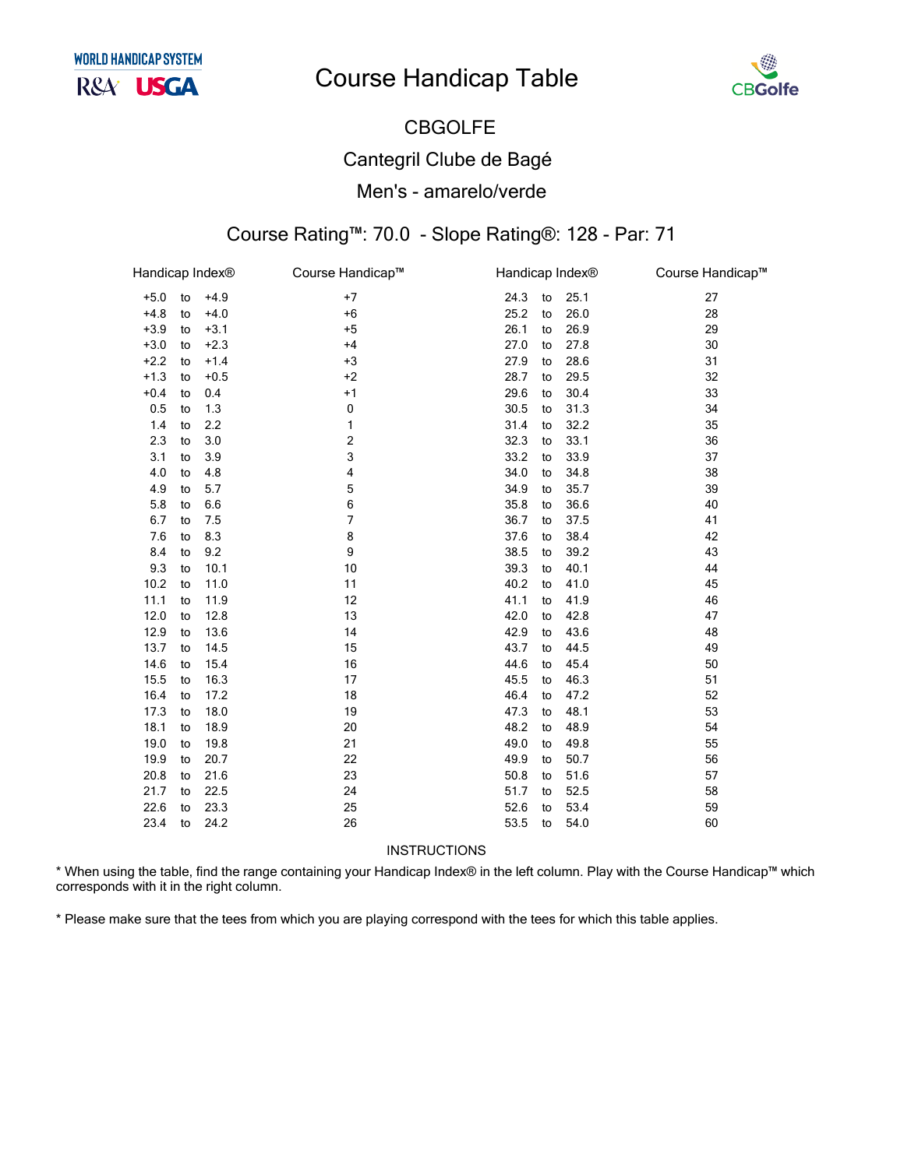# **Course Handicap Table**



### **CBGOLFE Cantegril Clube de Bagé** Men's - amarelo/verde

#### Course Rating™: 70.0 - Slope Rating®: 128 - Par: 71

| Handicap Index® |    |        | Course Handicap™ |      | Handicap Index® |      | Course Handicap™ |
|-----------------|----|--------|------------------|------|-----------------|------|------------------|
| $+5.0$          | to | $+4.9$ | $+7$             | 24.3 | to              | 25.1 | 27               |
| $+4.8$          | to | $+4.0$ | $+6$             | 25.2 | to              | 26.0 | 28               |
| $+3.9$          | to | $+3.1$ | $+5$             | 26.1 | to              | 26.9 | 29               |
| $+3.0$          | to | $+2.3$ | $+4$             | 27.0 | to              | 27.8 | 30               |
| $+2.2$          | to | $+1.4$ | $+3$             | 27.9 | to              | 28.6 | 31               |
| $+1.3$          | to | $+0.5$ | $+2$             | 28.7 | to              | 29.5 | 32               |
| $+0.4$          | to | 0.4    | $+1$             | 29.6 | to              | 30.4 | 33               |
| 0.5             | to | 1.3    | 0                | 30.5 | to              | 31.3 | 34               |
| 1.4             | to | 2.2    | 1                | 31.4 | to              | 32.2 | 35               |
| 2.3             | to | 3.0    | 2                | 32.3 | to              | 33.1 | 36               |
| 3.1             | to | 3.9    | 3                | 33.2 | to              | 33.9 | 37               |
| 4.0             | to | 4.8    | 4                | 34.0 | to              | 34.8 | 38               |
| 4.9             | to | 5.7    | 5                | 34.9 | to              | 35.7 | 39               |
| 5.8             | to | 6.6    | 6                | 35.8 | to              | 36.6 | 40               |
| 6.7             | to | 7.5    | $\overline{7}$   | 36.7 | to              | 37.5 | 41               |
| 7.6             | to | 8.3    | 8                | 37.6 | to              | 38.4 | 42               |
| 8.4             | to | 9.2    | 9                | 38.5 | to              | 39.2 | 43               |
| 9.3             | to | 10.1   | 10               | 39.3 | to              | 40.1 | 44               |
| 10.2            | to | 11.0   | 11               | 40.2 | to              | 41.0 | 45               |
| 11.1            | to | 11.9   | 12               | 41.1 | to              | 41.9 | 46               |
| 12.0            | to | 12.8   | 13               | 42.0 | to              | 42.8 | 47               |
| 12.9            | to | 13.6   | 14               | 42.9 | to              | 43.6 | 48               |
| 13.7            | to | 14.5   | 15               | 43.7 | to              | 44.5 | 49               |
| 14.6            | to | 15.4   | 16               | 44.6 | to              | 45.4 | 50               |
| 15.5            | to | 16.3   | 17               | 45.5 | to              | 46.3 | 51               |
| 16.4            | to | 17.2   | 18               | 46.4 | to              | 47.2 | 52               |
| 17.3            | to | 18.0   | 19               | 47.3 | to              | 48.1 | 53               |
| 18.1            | to | 18.9   | 20               | 48.2 | to              | 48.9 | 54               |
| 19.0            | to | 19.8   | 21               | 49.0 | to              | 49.8 | 55               |
| 19.9            | to | 20.7   | 22               | 49.9 | to              | 50.7 | 56               |
| 20.8            | to | 21.6   | 23               | 50.8 | to              | 51.6 | 57               |
| 21.7            | to | 22.5   | 24               | 51.7 | to              | 52.5 | 58               |
| 22.6            | to | 23.3   | 25               | 52.6 | to              | 53.4 | 59               |
| 23.4            | to | 24.2   | 26               | 53.5 | to              | 54.0 | 60               |

**INSTRUCTIONS** 

\* When using the table, find the range containing your Handicap Index® in the left column. Play with the Course Handicap™ which corresponds with it in the right column.

\* Please make sure that the tees from which you are playing correspond with the tees for which this table applies.